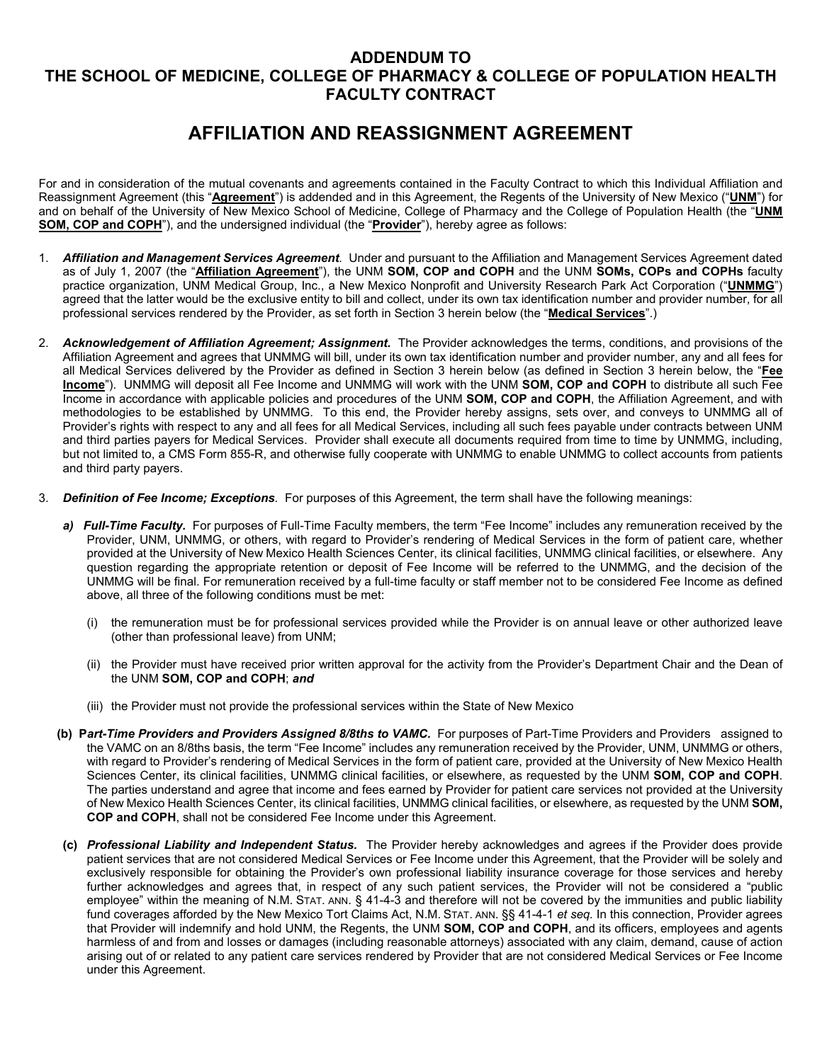## **ADDENDUM TO THE SCHOOL OF MEDICINE, COLLEGE OF PHARMACY & COLLEGE OF POPULATION HEALTH FACULTY CONTRACT**

## **AFFILIATION AND REASSIGNMENT AGREEMENT**

For and in consideration of the mutual covenants and agreements contained in the Faculty Contract to which this Individual Affiliation and Reassignment Agreement (this "**Agreement**") is addended and in this Agreement, the Regents of the University of New Mexico ("**UNM**") for and on behalf of the University of New Mexico School of Medicine, College of Pharmacy and the College of Population Health (the "**UNM SOM, COP and COPH**"), and the undersigned individual (the "**Provider**"), hereby agree as follows:

- 1. *Affiliation and Management Services Agreement.* Under and pursuant to the Affiliation and Management Services Agreement dated as of July 1, 2007 (the "**Affiliation Agreement**"), the UNM **SOM, COP and COPH** and the UNM **SOMs, COPs and COPHs** faculty practice organization, UNM Medical Group, Inc., a New Mexico Nonprofit and University Research Park Act Corporation ("**UNMMG**") agreed that the latter would be the exclusive entity to bill and collect, under its own tax identification number and provider number, for all professional services rendered by the Provider, as set forth in Section 3 herein below (the "**Medical Services**".)
- 2. *Acknowledgement of Affiliation Agreement; Assignment.* The Provider acknowledges the terms, conditions, and provisions of the Affiliation Agreement and agrees that UNMMG will bill, under its own tax identification number and provider number, any and all fees for all Medical Services delivered by the Provider as defined in Section 3 herein below (as defined in Section 3 herein below, the "**Fee Income**"). UNMMG will deposit all Fee Income and UNMMG will work with the UNM **SOM, COP and COPH** to distribute all such Fee Income in accordance with applicable policies and procedures of the UNM **SOM, COP and COPH**, the Affiliation Agreement, and with methodologies to be established by UNMMG. To this end, the Provider hereby assigns, sets over, and conveys to UNMMG all of Provider's rights with respect to any and all fees for all Medical Services, including all such fees payable under contracts between UNM and third parties payers for Medical Services. Provider shall execute all documents required from time to time by UNMMG, including, but not limited to, a CMS Form 855-R, and otherwise fully cooperate with UNMMG to enable UNMMG to collect accounts from patients and third party payers.
- 3. *Definition of Fee Income; Exceptions.* For purposes of this Agreement, the term shall have the following meanings:
	- *a) Full-Time Faculty.* For purposes of Full-Time Faculty members, the term "Fee Income" includes any remuneration received by the Provider, UNM, UNMMG, or others, with regard to Provider's rendering of Medical Services in the form of patient care, whether provided at the University of New Mexico Health Sciences Center, its clinical facilities, UNMMG clinical facilities, or elsewhere. Any question regarding the appropriate retention or deposit of Fee Income will be referred to the UNMMG, and the decision of the UNMMG will be final. For remuneration received by a full-time faculty or staff member not to be considered Fee Income as defined above, all three of the following conditions must be met:
		- (i) the remuneration must be for professional services provided while the Provider is on annual leave or other authorized leave (other than professional leave) from UNM;
		- (ii) the Provider must have received prior written approval for the activity from the Provider's Department Chair and the Dean of the UNM **SOM, COP and COPH**; *and*
		- (iii) the Provider must not provide the professional services within the State of New Mexico
	- **(b) P***art-Time Providers and Providers Assigned 8/8ths to VAMC.* For purposes of Part-Time Providers and Providers assigned to the VAMC on an 8/8ths basis, the term "Fee Income" includes any remuneration received by the Provider, UNM, UNMMG or others, with regard to Provider's rendering of Medical Services in the form of patient care, provided at the University of New Mexico Health Sciences Center, its clinical facilities, UNMMG clinical facilities, or elsewhere, as requested by the UNM **SOM, COP and COPH**. The parties understand and agree that income and fees earned by Provider for patient care services not provided at the University of New Mexico Health Sciences Center, its clinical facilities, UNMMG clinical facilities, or elsewhere, as requested by the UNM **SOM, COP and COPH**, shall not be considered Fee Income under this Agreement.
	- **(c)** *Professional Liability and Independent Status.* The Provider hereby acknowledges and agrees if the Provider does provide patient services that are not considered Medical Services or Fee Income under this Agreement, that the Provider will be solely and exclusively responsible for obtaining the Provider's own professional liability insurance coverage for those services and hereby further acknowledges and agrees that, in respect of any such patient services, the Provider will not be considered a "public employee" within the meaning of N.M. STAT. ANN. § 41-4-3 and therefore will not be covered by the immunities and public liability fund coverages afforded by the New Mexico Tort Claims Act, N.M. STAT. ANN. §§ 41-4-1 *et seq.* In this connection, Provider agrees that Provider will indemnify and hold UNM, the Regents, the UNM **SOM, COP and COPH**, and its officers, employees and agents harmless of and from and losses or damages (including reasonable attorneys) associated with any claim, demand, cause of action arising out of or related to any patient care services rendered by Provider that are not considered Medical Services or Fee Income under this Agreement.